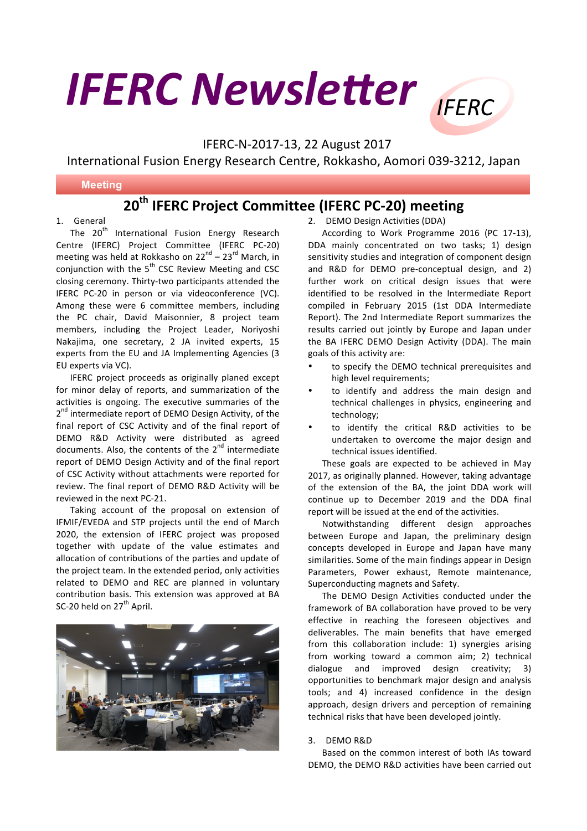# **IFERC Newsletter IFFRC**

IFERC-N-2017-13, 22 August 2017

International Fusion Energy Research Centre, Rokkasho, Aomori 039-3212, Japan

#### <u>and moderny</u> **Meeting**

## **20th IFERC Project Committee (IFERC PC-20) meeting**

### 1. General

The 20<sup>th</sup> International Fusion Energy Research Centre (IFERC) Project Committee (IFERC PC-20) meeting was held at Rokkasho on  $22^{nd} - 23^{rd}$  March, in conjunction with the  $5<sup>th</sup>$  CSC Review Meeting and CSC closing ceremony. Thirty-two participants attended the IFERC PC-20 in person or via videoconference (VC). Among these were 6 committee members, including the PC chair, David Maisonnier, 8 project team members, including the Project Leader, Noriyoshi Nakajima, one secretary, 2 JA invited experts, 15 experts from the EU and JA Implementing Agencies (3) EU experts via VC).

IFERC project proceeds as originally planed except for minor delay of reports, and summarization of the activities is ongoing. The executive summaries of the 2<sup>nd</sup> intermediate report of DEMO Design Activity, of the final report of CSC Activity and of the final report of DEMO R&D Activity were distributed as agreed documents. Also, the contents of the  $2^{nd}$  intermediate report of DEMO Design Activity and of the final report of CSC Activity without attachments were reported for review. The final report of DEMO R&D Activity will be reviewed in the next PC-21.

Taking account of the proposal on extension of IFMIF/EVEDA and STP projects until the end of March 2020, the extension of IFERC project was proposed together with update of the value estimates and allocation of contributions of the parties and update of the project team. In the extended period, only activities related to DEMO and REC are planned in voluntary contribution basis. This extension was approved at BA SC-20 held on  $27<sup>th</sup>$  April.



2. DEMO Design Activities (DDA)

According to Work Programme 2016 (PC 17-13), DDA mainly concentrated on two tasks; 1) design sensitivity studies and integration of component design and R&D for DEMO pre-conceptual design, and 2) further work on critical design issues that were identified to be resolved in the Intermediate Report compiled in February 2015 (1st DDA Intermediate Report). The 2nd Intermediate Report summarizes the results carried out jointly by Europe and Japan under the BA IFERC DEMO Design Activity (DDA). The main goals of this activity are:

- to specify the DEMO technical prerequisites and high level requirements;
- to identify and address the main design and technical challenges in physics, engineering and technology;
- to identify the critical R&D activities to be undertaken to overcome the major design and technical issues identified.

These goals are expected to be achieved in May 2017, as originally planned. However, taking advantage of the extension of the BA, the joint DDA work will continue up to December 2019 and the DDA final report will be issued at the end of the activities.

Notwithstanding different design approaches between Europe and Japan, the preliminary design concepts developed in Europe and Japan have many similarities. Some of the main findings appear in Design Parameters, Power exhaust, Remote maintenance, Superconducting magnets and Safety.

The DEMO Design Activities conducted under the framework of BA collaboration have proved to be very effective in reaching the foreseen objectives and deliverables. The main benefits that have emerged from this collaboration include: 1) synergies arising from working toward a common aim; 2) technical dialogue and improved design creativity; 3) opportunities to benchmark major design and analysis tools; and 4) increased confidence in the design approach, design drivers and perception of remaining technical risks that have been developed jointly.

### 3. DEMO R&D

Based on the common interest of both IAs toward DEMO, the DEMO R&D activities have been carried out